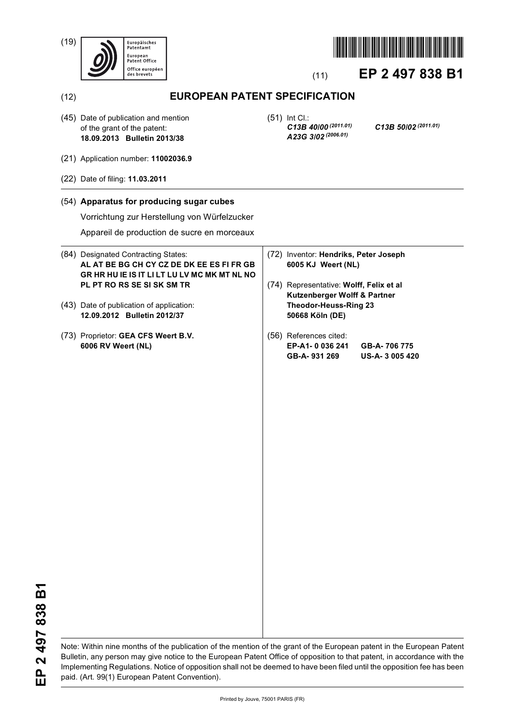(19)





# (11) **EP 2 497 838 B1**

| (12) | <b>EUROPEAN PATENT SPECIFICATION</b>                                                               |                                                                       |                                              |
|------|----------------------------------------------------------------------------------------------------|-----------------------------------------------------------------------|----------------------------------------------|
|      | (45) Date of publication and mention<br>of the grant of the patent:<br>18.09.2013 Bulletin 2013/38 | $(51)$ Int Cl.:<br>$C13B$ 40/00 $^{(2011.01)}$<br>A23G 3/02 (2006.01) | C <sub>13</sub> B 50/02 <sup>(2011.01)</sup> |

(21) Application number: **11002036.9**

**18.09.2013 Bulletin 2013/38**

(54) **Apparatus for producing sugar cubes**

(22) Date of filing: **11.03.2011**

# Vorrichtung zur Herstellung von Würfelzucker Appareil de production de sucre en morceaux (84) Designated Contracting States: **AL AT BE BG CH CY CZ DE DK EE ES FI FR GB GR HR HU IE IS IT LI LT LU LV MC MK MT NL NO PL PT RO RS SE SI SK SM TR** (43) Date of publication of application: **12.09.2012 Bulletin 2012/37** (73) Proprietor: **GEA CFS Weert B.V. 6006 RV Weert (NL)** (72) Inventor: **Hendriks, Peter Joseph 6005 KJ Weert (NL)** (74) Representative: **Wolff, Felix et al Kutzenberger Wolff & Partner Theodor-Heuss-Ring 23 50668 Köln (DE)** (56) References cited: **EP-A1- 0 036 241 GB-A- 706 775 GB-A- 931 269 US-A- 3 005 420**

EP 2 497 838 B1 **EP 2 497 838 B1**

Note: Within nine months of the publication of the mention of the grant of the European patent in the European Patent Bulletin, any person may give notice to the European Patent Office of opposition to that patent, in accordance with the Implementing Regulations. Notice of opposition shall not be deemed to have been filed until the opposition fee has been paid. (Art. 99(1) European Patent Convention).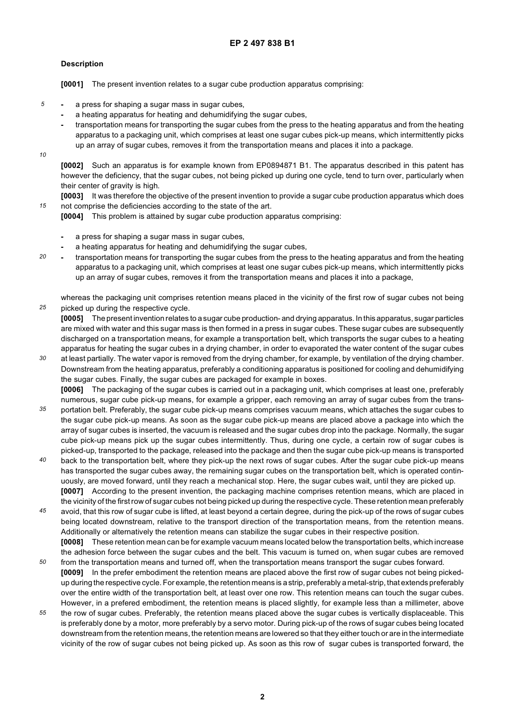# **Description**

**[0001]** The present invention relates to a sugar cube production apparatus comprising:

- *5* **-** a press for shaping a sugar mass in sugar cubes,
	- **-** a heating apparatus for heating and dehumidifying the sugar cubes,
		- **-** transportation means for transporting the sugar cubes from the press to the heating apparatus and from the heating apparatus to a packaging unit, which comprises at least one sugar cubes pick-up means, which intermittently picks up an array of sugar cubes, removes it from the transportation means and places it into a package.
- *10*

*20*

*25*

**[0002]** Such an apparatus is for example known from EP0894871 B1. The apparatus described in this patent has however the deficiency, that the sugar cubes, not being picked up during one cycle, tend to turn over, particularly when their center of gravity is high.

*15* **[0003]** It was therefore the objective of the present invention to provide a sugar cube production apparatus which does not comprise the deficiencies according to the state of the art.

**[0004]** This problem is attained by sugar cube production apparatus comprising:

- **-** a press for shaping a sugar mass in sugar cubes,
- **-** a heating apparatus for heating and dehumidifying the sugar cubes,
- **-** transportation means for transporting the sugar cubes from the press to the heating apparatus and from the heating apparatus to a packaging unit, which comprises at least one sugar cubes pick-up means, which intermittently picks up an array of sugar cubes, removes it from the transportation means and places it into a package,

whereas the packaging unit comprises retention means placed in the vicinity of the first row of sugar cubes not being picked up during the respective cycle.

- **[0005]** The present invention relates to a sugar cube production- and drying apparatus. In this apparatus, sugar particles are mixed with water and this sugar mass is then formed in a press in sugar cubes. These sugar cubes are subsequently discharged on a transportation means, for example a transportation belt, which transports the sugar cubes to a heating apparatus for heating the sugar cubes in a drying chamber, in order to evaporated the water content of the sugar cubes
- *30* at least partially. The water vapor is removed from the drying chamber, for example, by ventilation of the drying chamber. Downstream from the heating apparatus, preferably a conditioning apparatus is positioned for cooling and dehumidifying the sugar cubes. Finally, the sugar cubes are packaged for example in boxes.
- **[0006]** The packaging of the sugar cubes is carried out in a packaging unit, which comprises at least one, preferably numerous, sugar cube pick-up means, for example a gripper, each removing an array of sugar cubes from the trans-
- *35* portation belt. Preferably, the sugar cube pick-up means comprises vacuum means, which attaches the sugar cubes to the sugar cube pick-up means. As soon as the sugar cube pick-up means are placed above a package into which the array of sugar cubes is inserted, the vacuum is released and the sugar cubes drop into the package. Normally, the sugar cube pick-up means pick up the sugar cubes intermittently. Thus, during one cycle, a certain row of sugar cubes is picked-up, transported to the package, released into the package and then the sugar cube pick-up means is transported
- *40* back to the transportation belt, where they pick-up the next rows of sugar cubes. After the sugar cube pick-up means has transported the sugar cubes away, the remaining sugar cubes on the transportation belt, which is operated continuously, are moved forward, until they reach a mechanical stop. Here, the sugar cubes wait, until they are picked up. **[0007]** According to the present invention, the packaging machine comprises retention means, which are placed in the vicinity of the first row of sugar cubes not being picked up during the respective cycle. These retention mean preferably
- *45* avoid, that this row of sugar cube is lifted, at least beyond a certain degree, during the pick-up of the rows of sugar cubes being located downstream, relative to the transport direction of the transportation means, from the retention means. Additionally or alternatively the retention means can stabilize the sugar cubes in their respective position. **[0008]** These retention mean can be for example vacuum means located below the transportation belts, which increase
- *50* the adhesion force between the sugar cubes and the belt. This vacuum is turned on, when sugar cubes are removed from the transportation means and turned off, when the transportation means transport the sugar cubes forward. **[0009]** In the prefer embodiment the retention means are placed above the first row of sugar cubes not being pickedup during the respective cycle. For example, the retention means is a strip, preferably a metal-strip, that extends preferably over the entire width of the transportation belt, at least over one row. This retention means can touch the sugar cubes.
- *55* However, in a prefered embodiment, the retention means is placed slightly, for example less than a millimeter, above the row of sugar cubes. Preferably, the retention means placed above the sugar cubes is vertically displaceable. This is preferably done by a motor, more preferably by a servo motor. During pick-up of the rows of sugar cubes being located downstream from the retention means, the retention means are lowered so that they either touch or are in the intermediate vicinity of the row of sugar cubes not being picked up. As soon as this row of sugar cubes is transported forward, the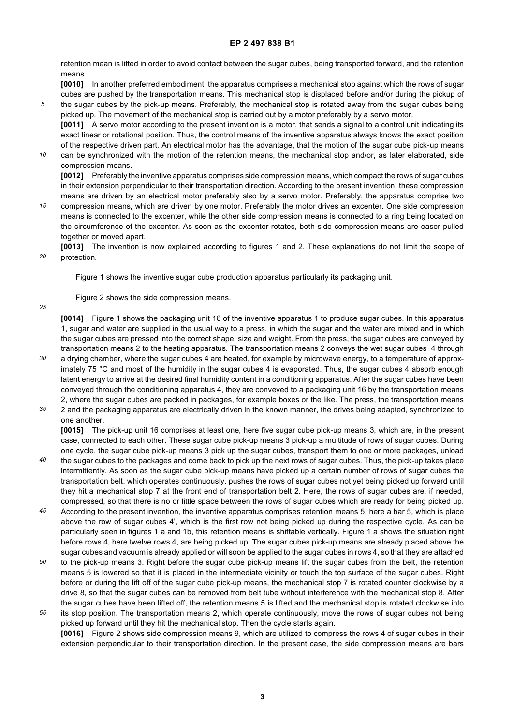# **EP 2 497 838 B1**

retention mean is lifted in order to avoid contact between the sugar cubes, being transported forward, and the retention means.

**[0010]** In another preferred embodiment, the apparatus comprises a mechanical stop against which the rows of sugar cubes are pushed by the transportation means. This mechanical stop is displaced before and/or during the pickup of

- *5* the sugar cubes by the pick-up means. Preferably, the mechanical stop is rotated away from the sugar cubes being picked up. The movement of the mechanical stop is carried out by a motor preferably by a servo motor. **[0011]** A servo motor according to the present invention is a motor, that sends a signal to a control unit indicating its exact linear or rotational position. Thus, the control means of the inventive apparatus always knows the exact position of the respective driven part. An electrical motor has the advantage, that the motion of the sugar cube pick-up means
- *10* can be synchronized with the motion of the retention means, the mechanical stop and/or, as later elaborated, side compression means.

**[0012]** Preferably the inventive apparatus comprises side compression means, which compact the rows of sugar cubes in their extension perpendicular to their transportation direction. According to the present invention, these compression means are driven by an electrical motor preferably also by a servo motor. Preferably, the apparatus comprise two

*15* compression means, which are driven by one motor. Preferably the motor drives an excenter. One side compression means is connected to the excenter, while the other side compression means is connected to a ring being located on the circumference of the excenter. As soon as the excenter rotates, both side compression means are easer pulled together or moved apart.

**[0013]** The invention is now explained according to figures 1 and 2. These explanations do not limit the scope of protection.

Figure 1 shows the inventive sugar cube production apparatus particularly its packaging unit.

Figure 2 shows the side compression means.

*25*

*20*

**[0014]** Figure 1 shows the packaging unit 16 of the inventive apparatus 1 to produce sugar cubes. In this apparatus 1, sugar and water are supplied in the usual way to a press, in which the sugar and the water are mixed and in which the sugar cubes are pressed into the correct shape, size and weight. From the press, the sugar cubes are conveyed by transportation means 2 to the heating apparatus. The transportation means 2 conveys the wet sugar cubes 4 through

- *30* a drying chamber, where the sugar cubes 4 are heated, for example by microwave energy, to a temperature of approximately 75 °C and most of the humidity in the sugar cubes 4 is evaporated. Thus, the sugar cubes 4 absorb enough latent energy to arrive at the desired final humidity content in a conditioning apparatus. After the sugar cubes have been conveyed through the conditioning apparatus 4, they are conveyed to a packaging unit 16 by the transportation means 2, where the sugar cubes are packed in packages, for example boxes or the like. The press, the transportation means
- *35* 2 and the packaging apparatus are electrically driven in the known manner, the drives being adapted, synchronized to one another.

**[0015]** The pick-up unit 16 comprises at least one, here five sugar cube pick-up means 3, which are, in the present case, connected to each other. These sugar cube pick-up means 3 pick-up a multitude of rows of sugar cubes. During one cycle, the sugar cube pick-up means 3 pick up the sugar cubes, transport them to one or more packages, unload

- *40* the sugar cubes to the packages and come back to pick up the next rows of sugar cubes. Thus, the pick-up takes place intermittently. As soon as the sugar cube pick-up means have picked up a certain number of rows of sugar cubes the transportation belt, which operates continuously, pushes the rows of sugar cubes not yet being picked up forward until they hit a mechanical stop 7 at the front end of transportation belt 2. Here, the rows of sugar cubes are, if needed, compressed, so that there is no or little space between the rows of sugar cubes which are ready for being picked up.
- *45* According to the present invention, the inventive apparatus comprises retention means 5, here a bar 5, which is place above the row of sugar cubes 4', which is the first row not being picked up during the respective cycle. As can be particularly seen in figures 1 a and 1b, this retention means is shiftable vertically. Figure 1 a shows the situation right before rows 4, here twelve rows 4, are being picked up. The sugar cubes pick-up means are already placed above the sugar cubes and vacuum is already applied or will soon be applied to the sugar cubes in rows 4, so that they are attached
- *50* to the pick-up means 3. Right before the sugar cube pick-up means lift the sugar cubes from the belt, the retention means 5 is lowered so that it is placed in the intermediate vicinity or touch the top surface of the sugar cubes. Right before or during the lift off of the sugar cube pick-up means, the mechanical stop 7 is rotated counter clockwise by a drive 8, so that the sugar cubes can be removed from belt tube without interference with the mechanical stop 8. After the sugar cubes have been lifted off, the retention means 5 is lifted and the mechanical stop is rotated clockwise into
- *55* its stop position. The transportation means 2, which operate continuously, move the rows of sugar cubes not being picked up forward until they hit the mechanical stop. Then the cycle starts again. **[0016]** Figure 2 shows side compression means 9, which are utilized to compress the rows 4 of sugar cubes in their extension perpendicular to their transportation direction. In the present case, the side compression means are bars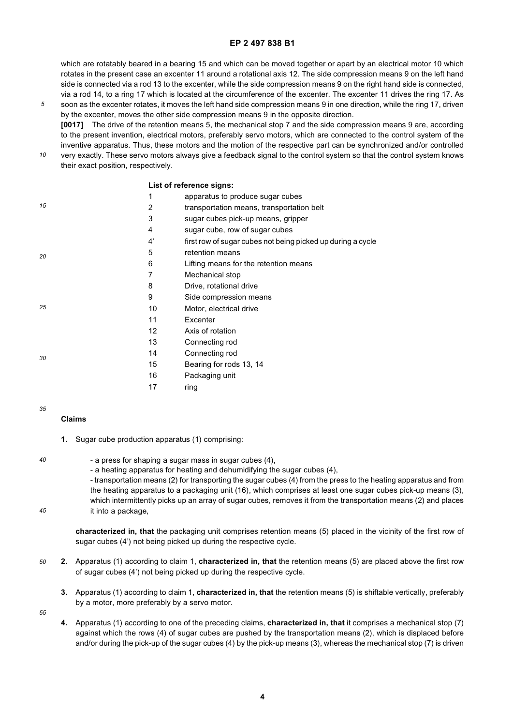# **EP 2 497 838 B1**

which are rotatably beared in a bearing 15 and which can be moved together or apart by an electrical motor 10 which rotates in the present case an excenter 11 around a rotational axis 12. The side compression means 9 on the left hand side is connected via a rod 13 to the excenter, while the side compression means 9 on the right hand side is connected, via a rod 14, to a ring 17 which is located at the circumference of the excenter. The excenter 11 drives the ring 17. As

- *5* soon as the excenter rotates, it moves the left hand side compression means 9 in one direction, while the ring 17, driven by the excenter, moves the other side compression means 9 in the opposite direction. **[0017]** The drive of the retention means 5, the mechanical stop 7 and the side compression means 9 are, according to the present invention, electrical motors, preferably servo motors, which are connected to the control system of the
- *10* inventive apparatus. Thus, these motors and the motion of the respective part can be synchronized and/or controlled very exactly. These servo motors always give a feedback signal to the control system so that the control system knows their exact position, respectively.

#### **List of reference signs:**

|    | 1            | apparatus to produce sugar cubes                            |
|----|--------------|-------------------------------------------------------------|
| 15 | 2            | transportation means, transportation belt                   |
|    | 3            | sugar cubes pick-up means, gripper                          |
|    | 4            | sugar cube, row of sugar cubes                              |
|    | 4'<br>5<br>6 | first row of sugar cubes not being picked up during a cycle |
| 20 |              | retention means                                             |
|    |              | Lifting means for the retention means                       |
|    | 7            | Mechanical stop                                             |
|    | 8            | Drive, rotational drive                                     |
|    | 9            | Side compression means                                      |
| 25 | 10           | Motor, electrical drive                                     |
|    | 11           | Excenter                                                    |
|    | 12           | Axis of rotation                                            |
|    | 13           | Connecting rod                                              |
| 30 | 14           | Connecting rod                                              |
|    | 15           | Bearing for rods 13, 14                                     |
|    | 16           | Packaging unit                                              |
|    | 17           | ring                                                        |
|    |              |                                                             |

*35*

*45*

#### **Claims**

- **1.** Sugar cube production apparatus (1) comprising:
- *40* - a press for shaping a sugar mass in sugar cubes (4),
	- a heating apparatus for heating and dehumidifying the sugar cubes (4),

- transportation means (2) for transporting the sugar cubes (4) from the press to the heating apparatus and from the heating apparatus to a packaging unit (16), which comprises at least one sugar cubes pick-up means (3), which intermittently picks up an array of sugar cubes, removes it from the transportation means (2) and places it into a package,

- **characterized in, that** the packaging unit comprises retention means (5) placed in the vicinity of the first row of sugar cubes (4') not being picked up during the respective cycle.
- *50* **2.** Apparatus (1) according to claim 1, **characterized in, that** the retention means (5) are placed above the first row of sugar cubes (4') not being picked up during the respective cycle.
	- **3.** Apparatus (1) according to claim 1, **characterized in, that** the retention means (5) is shiftable vertically, preferably by a motor, more preferably by a servo motor.
- *55*
- **4.** Apparatus (1) according to one of the preceding claims, **characterized in, that** it comprises a mechanical stop (7) against which the rows (4) of sugar cubes are pushed by the transportation means (2), which is displaced before and/or during the pick-up of the sugar cubes (4) by the pick-up means (3), whereas the mechanical stop (7) is driven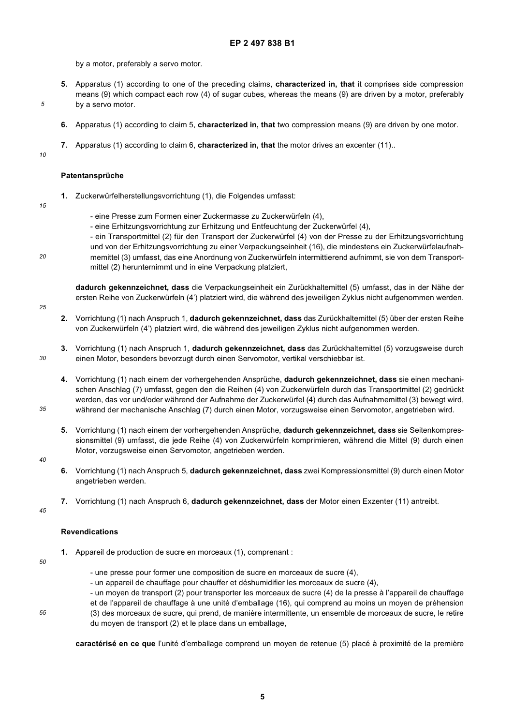by a motor, preferably a servo motor.

- **5.** Apparatus (1) according to one of the preceding claims, **characterized in, that** it comprises side compression means (9) which compact each row (4) of sugar cubes, whereas the means (9) are driven by a motor, preferably by a servo motor.
- **6.** Apparatus (1) according to claim 5, **characterized in, that** two compression means (9) are driven by one motor.
- **7.** Apparatus (1) according to claim 6, **characterized in, that** the motor drives an excenter (11)..

#### *10*

*15*

*20*

*5*

#### **Patentansprüche**

- **1.** Zuckerwürfelherstellungsvorrichtung (1), die Folgendes umfasst:
	- eine Presse zum Formen einer Zuckermasse zu Zuckerwürfeln (4),
	- eine Erhitzungsvorrichtung zur Erhitzung und Entfeuchtung der Zuckerwürfel (4),
	- ein Transportmittel (2) für den Transport der Zuckerwürfel (4) von der Presse zu der Erhitzungsvorrichtung und von der Erhitzungsvorrichtung zu einer Verpackungseinheit (16), die mindestens ein Zuckerwürfelaufnahmemittel (3) umfasst, das eine Anordnung von Zuckerwürfeln intermittierend aufnimmt, sie von dem Transportmittel (2) herunternimmt und in eine Verpackung platziert,

**dadurch gekennzeichnet, dass** die Verpackungseinheit ein Zurückhaltemittel (5) umfasst, das in der Nähe der ersten Reihe von Zuckerwürfeln (4') platziert wird, die während des jeweiligen Zyklus nicht aufgenommen werden.

*25*

*30*

- **2.** Vorrichtung (1) nach Anspruch 1, **dadurch gekennzeichnet, dass** das Zurückhaltemittel (5) über der ersten Reihe von Zuckerwürfeln (4') platziert wird, die während des jeweiligen Zyklus nicht aufgenommen werden.
- **3.** Vorrichtung (1) nach Anspruch 1, **dadurch gekennzeichnet, dass** das Zurückhaltemittel (5) vorzugsweise durch einen Motor, besonders bevorzugt durch einen Servomotor, vertikal verschiebbar ist.
- **4.** Vorrichtung (1) nach einem der vorhergehenden Ansprüche, **dadurch gekennzeichnet, dass** sie einen mechanischen Anschlag (7) umfasst, gegen den die Reihen (4) von Zuckerwürfeln durch das Transportmittel (2) gedrückt werden, das vor und/oder während der Aufnahme der Zuckerwürfel (4) durch das Aufnahmemittel (3) bewegt wird, während der mechanische Anschlag (7) durch einen Motor, vorzugsweise einen Servomotor, angetrieben wird.
- **5.** Vorrichtung (1) nach einem der vorhergehenden Ansprüche, **dadurch gekennzeichnet, dass** sie Seitenkompressionsmittel (9) umfasst, die jede Reihe (4) von Zuckerwürfeln komprimieren, während die Mittel (9) durch einen Motor, vorzugsweise einen Servomotor, angetrieben werden.
- *40*

*35*

**6.** Vorrichtung (1) nach Anspruch 5, **dadurch gekennzeichnet, dass** zwei Kompressionsmittel (9) durch einen Motor angetrieben werden.

- **7.** Vorrichtung (1) nach Anspruch 6, **dadurch gekennzeichnet, dass** der Motor einen Exzenter (11) antreibt.
- *45*

#### **Revendications**

**1.** Appareil de production de sucre en morceaux (1), comprenant :

*50*

*55*

- une presse pour former une composition de sucre en morceaux de sucre (4),
- un appareil de chauffage pour chauffer et déshumidifier les morceaux de sucre (4),
- un moyen de transport (2) pour transporter les morceaux de sucre (4) de la presse à l'appareil de chauffage

et de l'appareil de chauffage à une unité d'emballage (16), qui comprend au moins un moyen de préhension (3) des morceaux de sucre, qui prend, de manière intermittente, un ensemble de morceaux de sucre, le retire

du moyen de transport (2) et le place dans un emballage,

**caractérisé en ce que** l'unité d'emballage comprend un moyen de retenue (5) placé à proximité de la première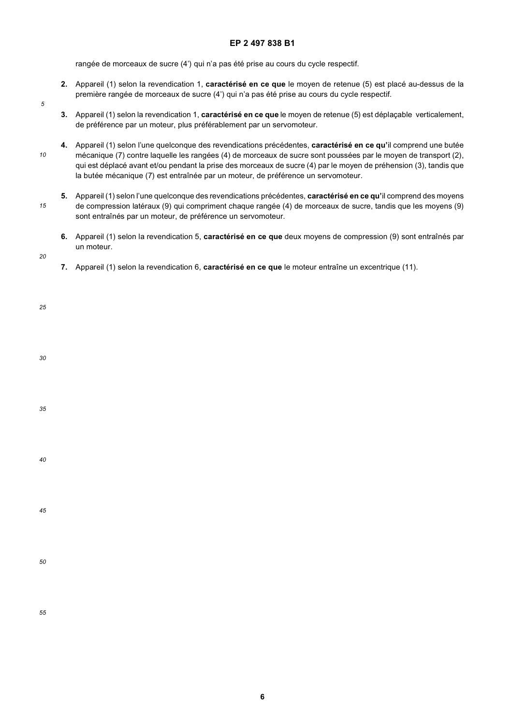# **EP 2 497 838 B1**

rangée de morceaux de sucre (4') qui n'a pas été prise au cours du cycle respectif.

- **2.** Appareil (1) selon la revendication 1, **caractérisé en ce que** le moyen de retenue (5) est placé au-dessus de la première rangée de morceaux de sucre (4') qui n'a pas été prise au cours du cycle respectif.
- **3.** Appareil (1) selon la revendication 1, **caractérisé en ce que** le moyen de retenue (5) est déplaçable verticalement, de préférence par un moteur, plus préférablement par un servomoteur.
- *10* **4.** Appareil (1) selon l'une quelconque des revendications précédentes, **caractérisé en ce qu'**il comprend une butée mécanique (7) contre laquelle les rangées (4) de morceaux de sucre sont poussées par le moyen de transport (2), qui est déplacé avant et/ou pendant la prise des morceaux de sucre (4) par le moyen de préhension (3), tandis que la butée mécanique (7) est entraînée par un moteur, de préférence un servomoteur.
- *15* **5.** Appareil (1) selon l'une quelconque des revendications précédentes, **caractérisé en ce qu'**il comprend des moyens de compression latéraux (9) qui compriment chaque rangée (4) de morceaux de sucre, tandis que les moyens (9) sont entraînés par un moteur, de préférence un servomoteur.
	- **6.** Appareil (1) selon la revendication 5, **caractérisé en ce que** deux moyens de compression (9) sont entraînés par un moteur.

**6**

*20*

*5*

- **7.** Appareil (1) selon la revendication 6, **caractérisé en ce que** le moteur entraîne un excentrique (11).
- *25*

*30*

*35*

*40*

*45*

*50*

*55*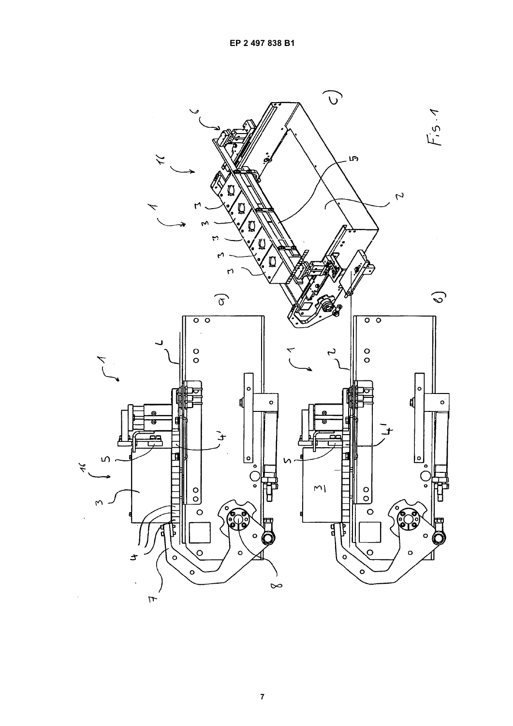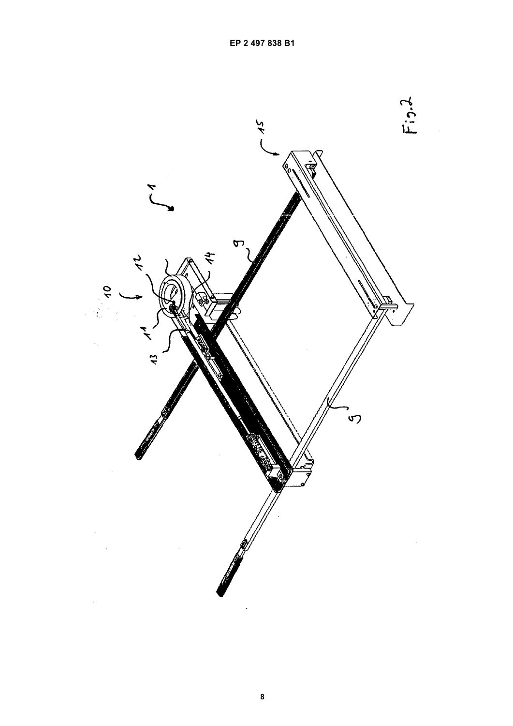